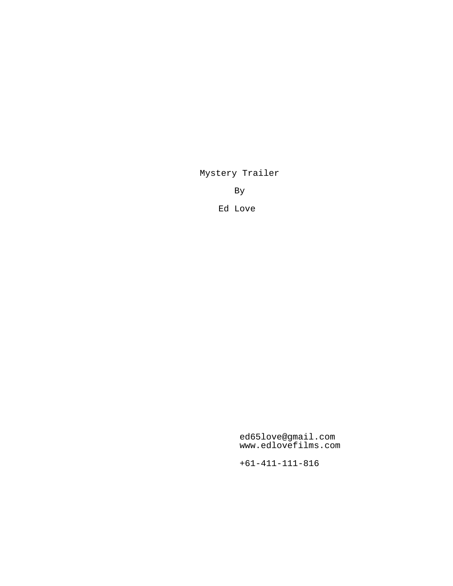Mystery Trailer

By

Ed Love

ed65love@gmail.com www.edlovefilms.com

+61-411-111-816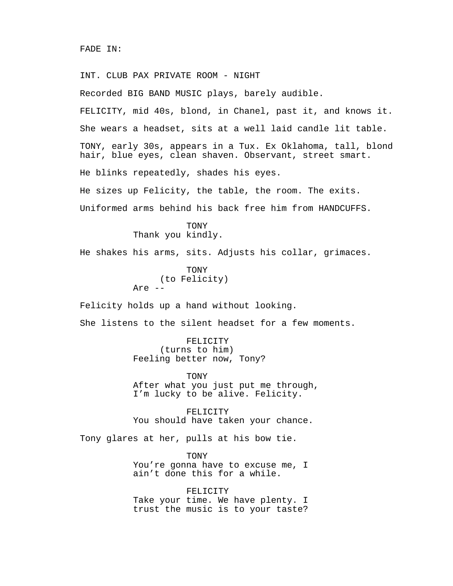INT. CLUB PAX PRIVATE ROOM - NIGHT Recorded BIG BAND MUSIC plays, barely audible. FELICITY, mid 40s, blond, in Chanel, past it, and knows it. She wears a headset, sits at a well laid candle lit table. TONY, early 30s, appears in a Tux. Ex Oklahoma, tall, blond hair, blue eyes, clean shaven. Observant, street smart. He blinks repeatedly, shades his eyes. He sizes up Felicity, the table, the room. The exits. Uniformed arms behind his back free him from HANDCUFFS.

> **TONY** Thank you kindly.

He shakes his arms, sits. Adjusts his collar, grimaces.

TONY (to Felicity) Are --

Felicity holds up a hand without looking.

She listens to the silent headset for a few moments.

FELICITY (turns to him) Feeling better now, Tony?

TONY After what you just put me through, I'm lucky to be alive. Felicity.

FELICITY You should have taken your chance.

Tony glares at her, pulls at his bow tie.

TONY You're gonna have to excuse me, I ain't done this for a while.

FELICITY Take your time. We have plenty. I trust the music is to your taste?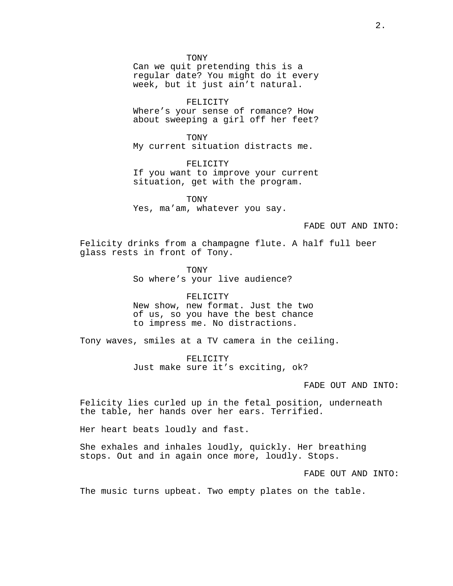TONY

Can we quit pretending this is a regular date? You might do it every week, but it just ain't natural.

FELICITY

Where's your sense of romance? How about sweeping a girl off her feet?

TONY My current situation distracts me.

FELICITY If you want to improve your current situation, get with the program.

TONY Yes, ma'am, whatever you say.

## FADE OUT AND INTO:

Felicity drinks from a champagne flute. A half full beer glass rests in front of Tony.

> **TONY** So where's your live audience?

FELICITY New show, new format. Just the two of us, so you have the best chance to impress me. No distractions.

Tony waves, smiles at a TV camera in the ceiling.

FELICITY Just make sure it's exciting, ok?

FADE OUT AND INTO:

Felicity lies curled up in the fetal position, underneath the table, her hands over her ears. Terrified.

Her heart beats loudly and fast.

She exhales and inhales loudly, quickly. Her breathing stops. Out and in again once more, loudly. Stops.

FADE OUT AND INTO:

The music turns upbeat. Two empty plates on the table.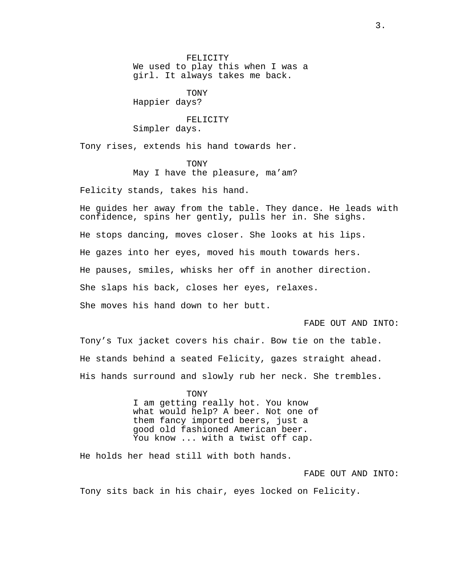FELICITY We used to play this when I was a girl. It always takes me back.

TONY Happier days?

FELICITY Simpler days.

Tony rises, extends his hand towards her.

TONY May I have the pleasure, ma'am?

Felicity stands, takes his hand.

He guides her away from the table. They dance. He leads with confidence, spins her gently, pulls her in. She sighs. He stops dancing, moves closer. She looks at his lips. He gazes into her eyes, moved his mouth towards hers. He pauses, smiles, whisks her off in another direction. She slaps his back, closes her eyes, relaxes. She moves his hand down to her butt.

## FADE OUT AND INTO:

Tony's Tux jacket covers his chair. Bow tie on the table. He stands behind a seated Felicity, gazes straight ahead. His hands surround and slowly rub her neck. She trembles.

> TONY I am getting really hot. You know what would help? A beer. Not one of them fancy imported beers, just a good old fashioned American beer. You know ... with a twist off cap.

He holds her head still with both hands.

FADE OUT AND INTO:

Tony sits back in his chair, eyes locked on Felicity.